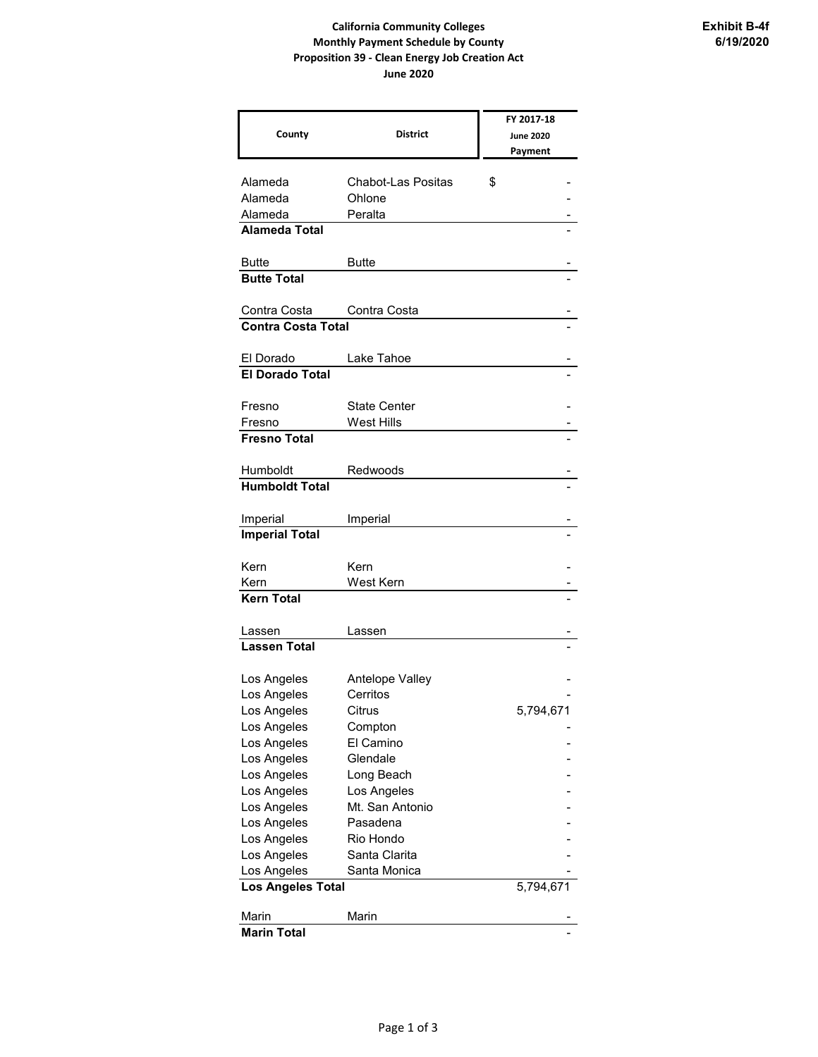## **California Community Colleges Monthly Payment Schedule by County Proposition 39 - Clean Energy Job Creation Act June 2020**

|                           |                     | FY 2017-18       |
|---------------------------|---------------------|------------------|
| County                    | <b>District</b>     | <b>June 2020</b> |
|                           |                     | Payment          |
|                           |                     |                  |
| Alameda                   | Chabot-Las Positas  | \$               |
| Alameda                   | Ohlone              |                  |
| Alameda                   | Peralta             |                  |
| <b>Alameda Total</b>      |                     |                  |
|                           |                     |                  |
| Butte                     | Butte               |                  |
| <b>Butte Total</b>        |                     |                  |
| Contra Costa              | Contra Costa        |                  |
| <b>Contra Costa Total</b> |                     |                  |
|                           |                     |                  |
| El Dorado                 | Lake Tahoe          |                  |
| <b>El Dorado Total</b>    |                     |                  |
|                           |                     |                  |
| Fresno                    | <b>State Center</b> |                  |
| Fresno                    | <b>West Hills</b>   |                  |
| <b>Fresno Total</b>       |                     |                  |
|                           |                     |                  |
| Humboldt                  | Redwoods            |                  |
| <b>Humboldt Total</b>     |                     |                  |
|                           |                     |                  |
| Imperial                  | Imperial            |                  |
| <b>Imperial Total</b>     |                     |                  |
| Kern                      | Kern                |                  |
| Kern                      | West Kern           |                  |
| <b>Kern Total</b>         |                     |                  |
|                           |                     |                  |
| Lassen                    | Lassen              |                  |
| <b>Lassen Total</b>       |                     |                  |
|                           |                     |                  |
| Los Angeles               | Antelope Valley     |                  |
| Los Angeles               | Cerritos            |                  |
| Los Angeles               | Citrus              | 5,794,671        |
| Los Angeles               | Compton             |                  |
| Los Angeles               | El Camino           |                  |
| Los Angeles               | Glendale            |                  |
| Los Angeles               | Long Beach          |                  |
| Los Angeles               | Los Angeles         |                  |
| Los Angeles               | Mt. San Antonio     |                  |
| Los Angeles               | Pasadena            |                  |
| Los Angeles               | Rio Hondo           |                  |
| Los Angeles               | Santa Clarita       |                  |
| Los Angeles               | Santa Monica        |                  |
| Los Angeles Total         |                     | 5,794,671        |
| Marin                     | Marin               |                  |
| <b>Marin Total</b>        |                     |                  |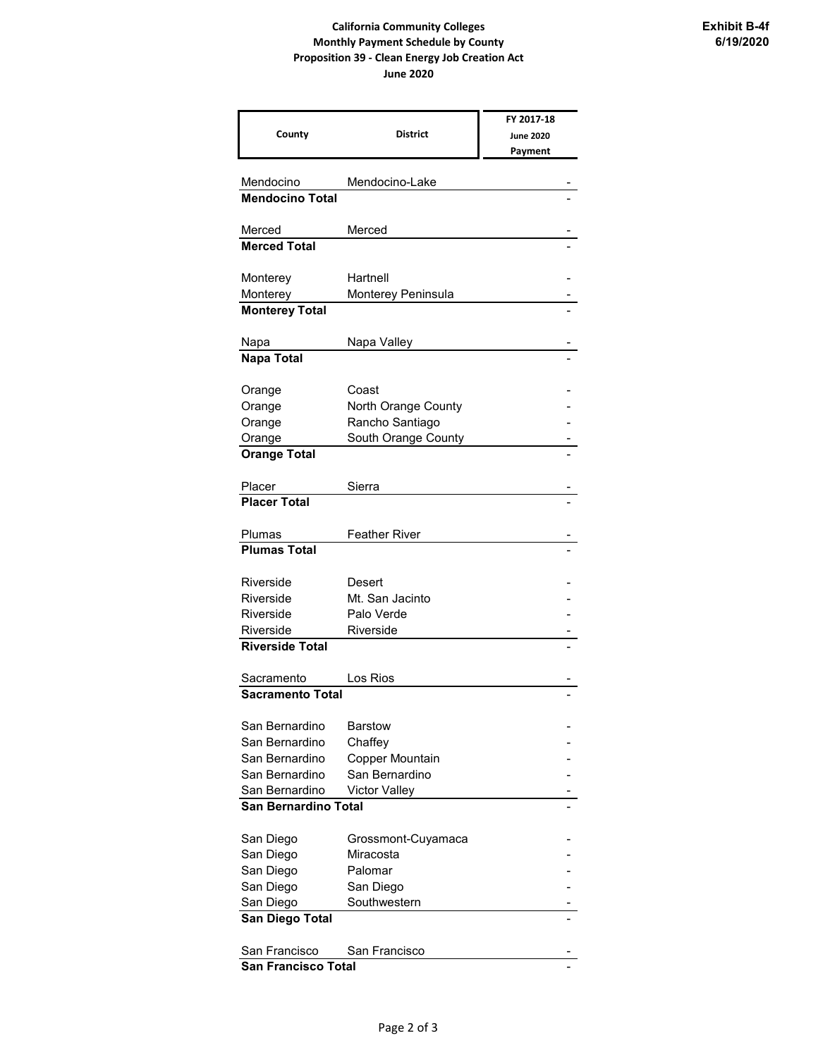## **California Community Colleges Monthly Payment Schedule by County Proposition 39 - Clean Energy Job Creation Act June 2020**

|                                     |                                        | FY 2017-18       |  |
|-------------------------------------|----------------------------------------|------------------|--|
| County                              | <b>District</b>                        | <b>June 2020</b> |  |
|                                     |                                        | Payment          |  |
|                                     |                                        |                  |  |
| Mendocino                           | Mendocino-Lake                         |                  |  |
| <b>Mendocino Total</b>              |                                        |                  |  |
| Merced                              | Merced                                 |                  |  |
| <b>Merced Total</b>                 |                                        |                  |  |
|                                     |                                        |                  |  |
| Monterey                            | Hartnell                               |                  |  |
| Monterey                            | Monterey Peninsula                     |                  |  |
| <b>Monterey Total</b>               |                                        |                  |  |
|                                     |                                        |                  |  |
| Napa                                | Napa Valley                            |                  |  |
| <b>Napa Total</b>                   |                                        |                  |  |
|                                     |                                        |                  |  |
| Orange                              | Coast                                  |                  |  |
| Orange                              | North Orange County                    |                  |  |
| Orange                              | Rancho Santiago<br>South Orange County |                  |  |
| Orange<br><b>Orange Total</b>       |                                        |                  |  |
|                                     |                                        |                  |  |
| Placer                              | Sierra                                 |                  |  |
| <b>Placer Total</b>                 |                                        |                  |  |
|                                     |                                        |                  |  |
| Plumas                              | <b>Feather River</b>                   |                  |  |
| <b>Plumas Total</b>                 |                                        |                  |  |
|                                     |                                        |                  |  |
| Riverside                           | Desert                                 |                  |  |
| Riverside                           | Mt. San Jacinto                        |                  |  |
| Riverside                           | Palo Verde                             |                  |  |
| Riverside<br><b>Riverside Total</b> | Riverside                              |                  |  |
|                                     |                                        |                  |  |
| Sacramento                          | Los Rios                               |                  |  |
| <b>Sacramento Total</b>             |                                        |                  |  |
|                                     |                                        |                  |  |
| San Bernardino                      | <b>Barstow</b>                         |                  |  |
| San Bernardino                      | Chaffey                                |                  |  |
| San Bernardino                      | Copper Mountain                        |                  |  |
| San Bernardino                      | San Bernardino                         |                  |  |
| San Bernardino                      | <b>Victor Valley</b>                   |                  |  |
| San Bernardino Total                |                                        |                  |  |
|                                     |                                        |                  |  |
| San Diego                           | Grossmont-Cuyamaca                     |                  |  |
| San Diego                           | Miracosta                              |                  |  |
| San Diego                           | Palomar                                |                  |  |
| San Diego<br>San Diego              | San Diego<br>Southwestern              |                  |  |
| San Diego Total                     |                                        |                  |  |
|                                     |                                        |                  |  |
| San Francisco                       | San Francisco                          |                  |  |
| <b>San Francisco Total</b>          |                                        |                  |  |